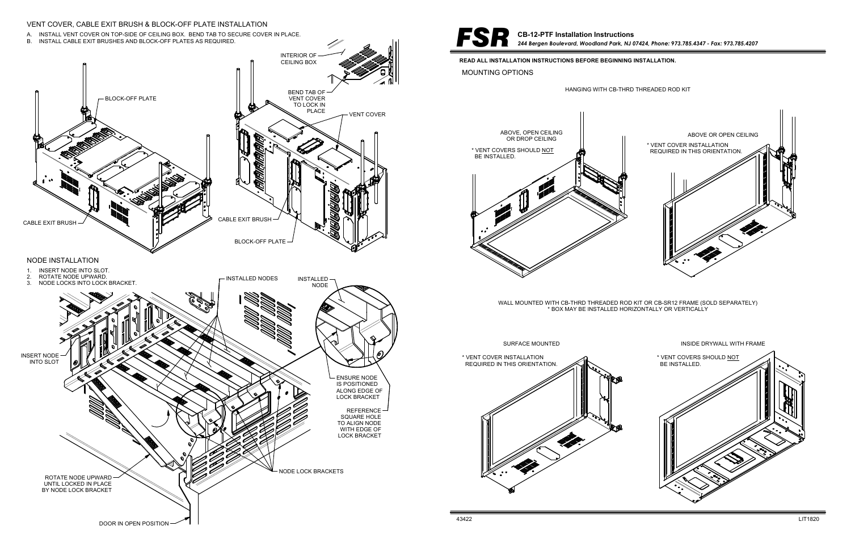

**244 Bergen Boulevard, Woodland Park, NJ 07424, Phone: 973.785.4347 - Fax: 973.785.4207**<br> **READ ALL INSTALLATION INSTRUCTIONS BEFORE BEGINNING INSTALLATION.** 

43422

MOUNTING OPTIONS

## HANGING WITH CB-THRD THREADED ROD KIT

## WALL MOUNTED WITH CB-THRD THREADED ROD KIT OR CB-SR12 FRAME (SOLD SEPARATELY)\* BOX MAY BE INSTALLED HORIZONTALLY OR VERTICALLY

SURFACE MOUNTED

- A. INSTALL VENT COVER ON TOP-SIDE OF CEILING BOX. BEND TAB TO SECURE COVER IN PLACE.<br>B INSTALL CABLE EXIT RRUSHES AND BLOCK OFF BLATES AS REQUIRED.
- B. INSTALL CABLE EXIT BRUSHES AND BLOCK-OFF PLATES AS REQUIRED.





2. Contract the contract of the contract of the contract of the contract of the contract of the contract of the contract of the contract of the contract of the contract of the contract of the contract of the contract of th



## VENT COVER, CABLE EXIT BRUSH & BLOCK-OFF PLATE INSTALLATION